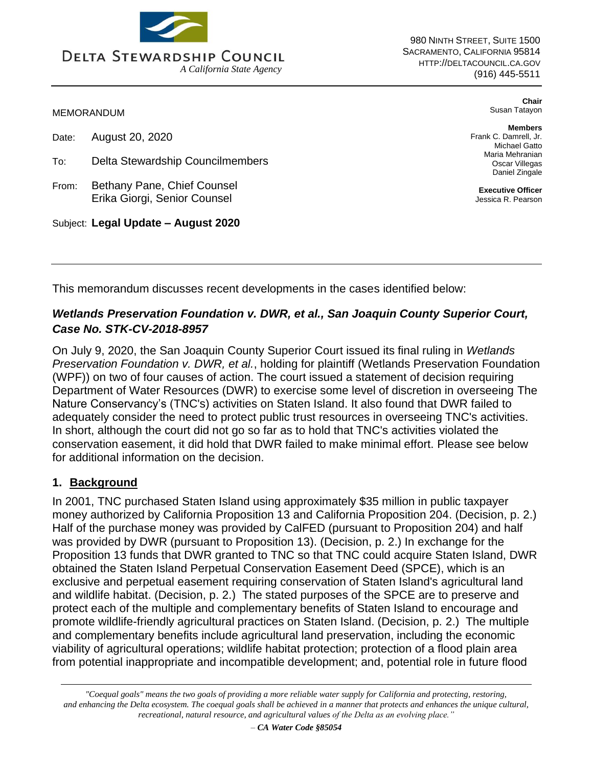

980 NINTH STREET, SUITE 1500 SACRAMENTO, CALIFORNIA 95814 HTTP://DELTACOUNCIL.CA.GOV (916) 445-5511

MEMORANDUM

Date: August 20, 2020

- To: Delta Stewardship Councilmembers
- From: Bethany Pane, Chief Counsel Erika Giorgi, Senior Counsel

Subject: **Legal Update – August 2020**

**Chair**  Susan Tatayon

**Members**  Frank C. Damrell, Jr. Michael Gatto Maria Mehranian Oscar Villegas Daniel Zingale

**Executive Officer**  Jessica R. Pearson

This memorandum discusses recent developments in the cases identified below:

## *Wetlands Preservation Foundation v. DWR, et al., San Joaquin County Superior Court, Case No. STK-CV-2018-8957*

On July 9, 2020, the San Joaquin County Superior Court issued its final ruling in *Wetlands Preservation Foundation v. DWR, et al.*, holding for plaintiff (Wetlands Preservation Foundation (WPF)) on two of four causes of action. The court issued a statement of decision requiring Department of Water Resources (DWR) to exercise some level of discretion in overseeing The Nature Conservancy's (TNC's) activities on Staten Island. It also found that DWR failed to adequately consider the need to protect public trust resources in overseeing TNC's activities. In short, although the court did not go so far as to hold that TNC's activities violated the conservation easement, it did hold that DWR failed to make minimal effort. Please see below for additional information on the decision.

## **1. Background**

In 2001, TNC purchased Staten Island using approximately \$35 million in public taxpayer money authorized by California Proposition 13 and California Proposition 204. (Decision, p. 2.) Half of the purchase money was provided by CalFED (pursuant to Proposition 204) and half was provided by DWR (pursuant to Proposition 13). (Decision, p. 2.) In exchange for the Proposition 13 funds that DWR granted to TNC so that TNC could acquire Staten Island, DWR obtained the Staten Island Perpetual Conservation Easement Deed (SPCE), which is an exclusive and perpetual easement requiring conservation of Staten Island's agricultural land and wildlife habitat. (Decision, p. 2.) The stated purposes of the SPCE are to preserve and protect each of the multiple and complementary benefits of Staten Island to encourage and promote wildlife-friendly agricultural practices on Staten Island. (Decision, p. 2.) The multiple and complementary benefits include agricultural land preservation, including the economic viability of agricultural operations; wildlife habitat protection; protection of a flood plain area from potential inappropriate and incompatible development; and, potential role in future flood

*"Coequal goals" means the two goals of providing a more reliable water supply for California and protecting, restoring, and enhancing the Delta ecosystem. The coequal goals shall be achieved in a manner that protects and enhances the unique cultural, recreational, natural resource, and agricultural values of the Delta as an evolving place."*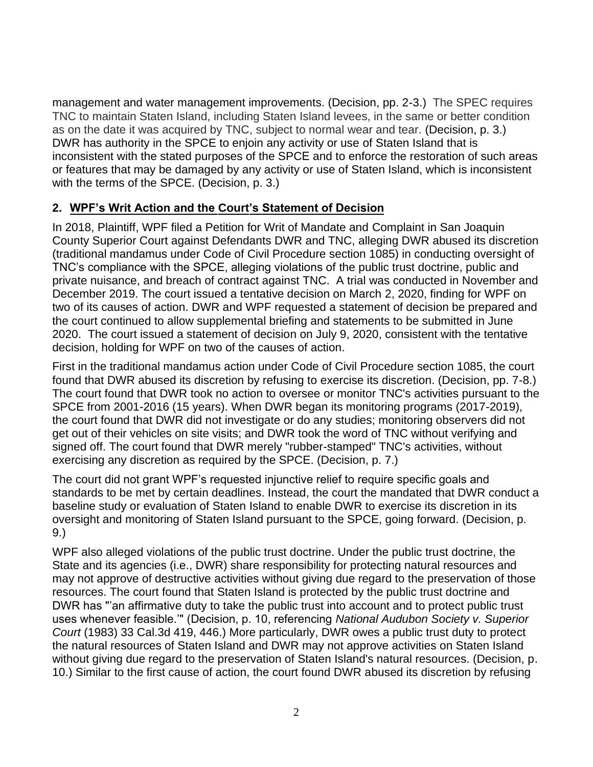management and water management improvements. (Decision, pp. 2-3.) The SPEC requires TNC to maintain Staten Island, including Staten Island levees, in the same or better condition as on the date it was acquired by TNC, subject to normal wear and tear. (Decision, p. 3.) DWR has authority in the SPCE to enjoin any activity or use of Staten Island that is inconsistent with the stated purposes of the SPCE and to enforce the restoration of such areas or features that may be damaged by any activity or use of Staten Island, which is inconsistent with the terms of the SPCE. (Decision, p. 3.)

## **2. WPF's Writ Action and the Court's Statement of Decision**

In 2018, Plaintiff, WPF filed a Petition for Writ of Mandate and Complaint in San Joaquin County Superior Court against Defendants DWR and TNC, alleging DWR abused its discretion (traditional mandamus under Code of Civil Procedure section 1085) in conducting oversight of TNC's compliance with the SPCE, alleging violations of the public trust doctrine, public and private nuisance, and breach of contract against TNC. A trial was conducted in November and December 2019. The court issued a tentative decision on March 2, 2020, finding for WPF on two of its causes of action. DWR and WPF requested a statement of decision be prepared and the court continued to allow supplemental briefing and statements to be submitted in June 2020. The court issued a statement of decision on July 9, 2020, consistent with the tentative decision, holding for WPF on two of the causes of action.

First in the traditional mandamus action under Code of Civil Procedure section 1085, the court found that DWR abused its discretion by refusing to exercise its discretion. (Decision, pp. 7-8.) The court found that DWR took no action to oversee or monitor TNC's activities pursuant to the SPCE from 2001-2016 (15 years). When DWR began its monitoring programs (2017-2019), the court found that DWR did not investigate or do any studies; monitoring observers did not get out of their vehicles on site visits; and DWR took the word of TNC without verifying and signed off. The court found that DWR merely "rubber-stamped" TNC's activities, without exercising any discretion as required by the SPCE. (Decision, p. 7.)

The court did not grant WPF's requested injunctive relief to require specific goals and standards to be met by certain deadlines. Instead, the court the mandated that DWR conduct a baseline study or evaluation of Staten Island to enable DWR to exercise its discretion in its oversight and monitoring of Staten Island pursuant to the SPCE, going forward. (Decision, p. 9.)

WPF also alleged violations of the public trust doctrine. Under the public trust doctrine, the State and its agencies (i.e., DWR) share responsibility for protecting natural resources and may not approve of destructive activities without giving due regard to the preservation of those resources. The court found that Staten Island is protected by the public trust doctrine and DWR has "'an affirmative duty to take the public trust into account and to protect public trust uses whenever feasible.'" (Decision, p. 10, referencing *National Audubon Society v. Superior Court* (1983) 33 Cal.3d 419, 446.) More particularly, DWR owes a public trust duty to protect the natural resources of Staten Island and DWR may not approve activities on Staten Island without giving due regard to the preservation of Staten Island's natural resources. (Decision, p. 10.) Similar to the first cause of action, the court found DWR abused its discretion by refusing